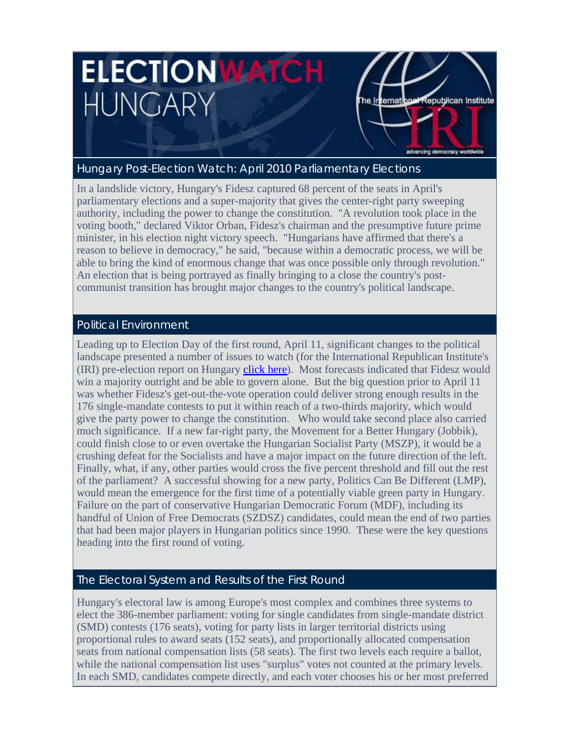# **ELECTION WATCH** HUNGARY



advancing democracy worldwide

## Hungary Post-Election Watch: April 2010 Parliamentary Elections

In a landslide victory, Hungary's Fidesz captured 68 percent of the seats in April's parliamentary elections and a super-majority that gives the center-right party sweeping authority, including the power to change the constitution. "A revolution took place in the voting booth," declared Viktor Orban, Fidesz's chairman and the presumptive future prime minister, in his election night victory speech. "Hungarians have affirmed that there's a reason to believe in democracy," he said, "because within a democratic process, we will be able to bring the kind of enormous change that was once possible only through revolution." An election that is being portrayed as finally bringing to a close the country's postcommunist transition has brought major changes to the country's political landscape.

## Political Environment

Leading up to Election Day of the first round, April 11, significant changes to the political landscape presented a number of issues to watch (for the International Republican Institute's (IRI) pre-election report on Hungary click here). Most forecasts indicated that Fidesz would win a majority outright and be able to govern alone. But the big question prior to April 11 was whether Fidesz's get-out-the-vote operation could deliver strong enough results in the 176 single-mandate contests to put it within reach of a two-thirds majority, which would give the party power to change the constitution. Who would take second place also carried much significance. If a new far-right party, the Movement for a Better Hungary (Jobbik), could finish close to or even overtake the Hungarian Socialist Party (MSZP), it would be a crushing defeat for the Socialists and have a major impact on the future direction of the left. Finally, what, if any, other parties would cross the five percent threshold and fill out the rest of the parliament? A successful showing for a new party, Politics Can Be Different (LMP), would mean the emergence for the first time of a potentially viable green party in Hungary. Failure on the part of conservative Hungarian Democratic Forum (MDF), including its handful of Union of Free Democrats (SZDSZ) candidates, could mean the end of two parties that had been major players in Hungarian politics since 1990. These were the key questions heading into the first round of voting.

## The Electoral System and Results of the First Round

Hungary's electoral law is among Europe's most complex and combines three systems to elect the 386-member parliament: voting for single candidates from single-mandate district (SMD) contests (176 seats), voting for party lists in larger territorial districts using proportional rules to award seats (152 seats), and proportionally allocated compensation seats from national compensation lists (58 seats). The first two levels each require a ballot, while the national compensation list uses "surplus" votes not counted at the primary levels. In each SMD, candidates compete directly, and each voter chooses his or her most preferred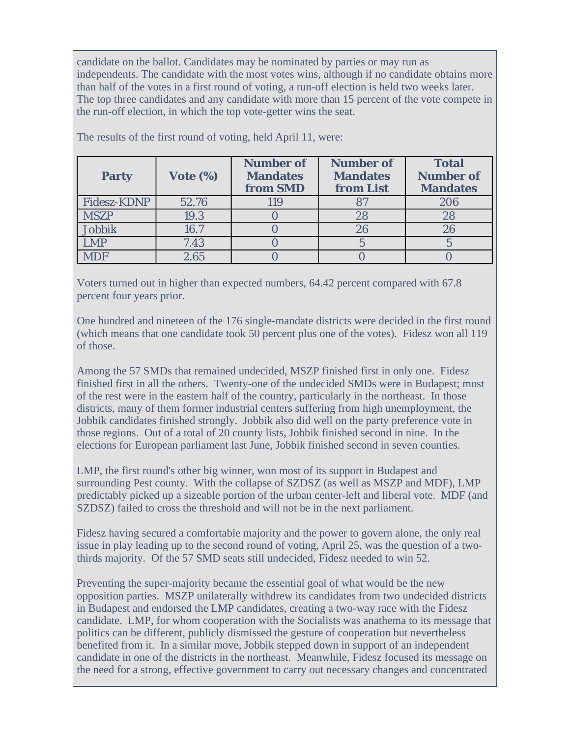candidate on the ballot. Candidates may be nominated by parties or may run as independents. The candidate with the most votes wins, although if no candidate obtains more than half of the votes in a first round of voting, a run-off election is held two weeks later. The top three candidates and any candidate with more than 15 percent of the vote compete in the run-off election, in which the top vote-getter wins the seat.

| <b>Party</b>  | Vote $(\%)$ | <b>Number of</b><br><b>Mandates</b><br>from SMD | <b>Number of</b><br><b>Mandates</b><br>from List | <b>Total</b><br><b>Number of</b><br><b>Mandates</b> |
|---------------|-------------|-------------------------------------------------|--------------------------------------------------|-----------------------------------------------------|
| Fidesz-KDNP   | 52.76       | 119                                             |                                                  | 206                                                 |
| <b>MSZP</b>   | 19.3        |                                                 | 28                                               | 28                                                  |
| <b>Jobbik</b> | 16.7        |                                                 |                                                  | 26                                                  |
| <b>LMP</b>    | 7.43        |                                                 |                                                  |                                                     |
| ADF           | 2.65        |                                                 |                                                  |                                                     |

The results of the first round of voting, held April 11, were:

Voters turned out in higher than expected numbers, 64.42 percent compared with 67.8 percent four years prior.

One hundred and nineteen of the 176 single-mandate districts were decided in the first round (which means that one candidate took 50 percent plus one of the votes). Fidesz won all 119 of those.

Among the 57 SMDs that remained undecided, MSZP finished first in only one. Fidesz finished first in all the others. Twenty-one of the undecided SMDs were in Budapest; most of the rest were in the eastern half of the country, particularly in the northeast. In those districts, many of them former industrial centers suffering from high unemployment, the Jobbik candidates finished strongly. Jobbik also did well on the party preference vote in those regions. Out of a total of 20 county lists, Jobbik finished second in nine. In the elections for European parliament last June, Jobbik finished second in seven counties.

LMP, the first round's other big winner, won most of its support in Budapest and surrounding Pest county. With the collapse of SZDSZ (as well as MSZP and MDF), LMP predictably picked up a sizeable portion of the urban center-left and liberal vote. MDF (and SZDSZ) failed to cross the threshold and will not be in the next parliament.

Fidesz having secured a comfortable majority and the power to govern alone, the only real issue in play leading up to the second round of voting, April 25, was the question of a twothirds majority. Of the 57 SMD seats still undecided, Fidesz needed to win 52.

Preventing the super-majority became the essential goal of what would be the new opposition parties. MSZP unilaterally withdrew its candidates from two undecided districts in Budapest and endorsed the LMP candidates, creating a two-way race with the Fidesz candidate. LMP, for whom cooperation with the Socialists was anathema to its message that politics can be different, publicly dismissed the gesture of cooperation but nevertheless benefited from it. In a similar move, Jobbik stepped down in support of an independent candidate in one of the districts in the northeast. Meanwhile, Fidesz focused its message on the need for a strong, effective government to carry out necessary changes and concentrated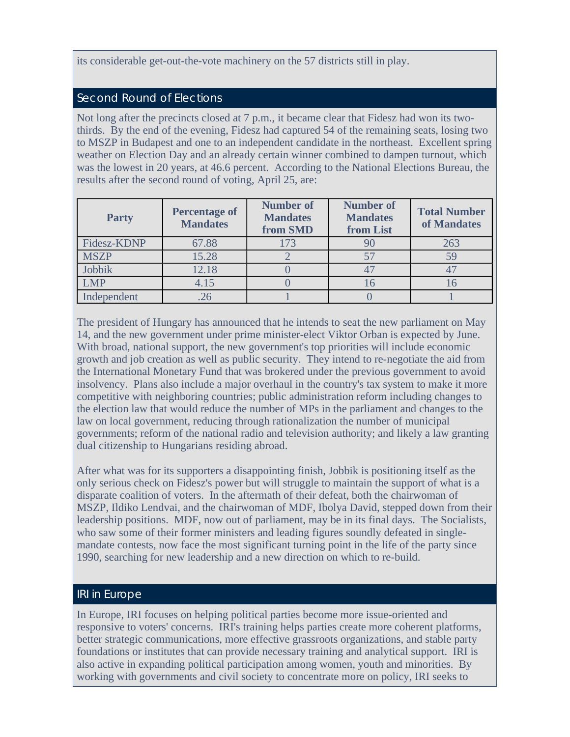### its considerable get-out-the-vote machinery on the 57 districts still in play.

#### Second Round of Elections

Not long after the precincts closed at 7 p.m., it became clear that Fidesz had won its twothirds. By the end of the evening, Fidesz had captured 54 of the remaining seats, losing two to MSZP in Budapest and one to an independent candidate in the northeast. Excellent spring weather on Election Day and an already certain winner combined to dampen turnout, which was the lowest in 20 years, at 46.6 percent. According to the National Elections Bureau, the results after the second round of voting, April 25, are:

| <b>Party</b> | <b>Percentage of</b><br><b>Mandates</b> | <b>Number of</b><br><b>Mandates</b><br>from SMD | <b>Number of</b><br><b>Mandates</b><br>from List | <b>Total Number</b><br>of Mandates |
|--------------|-----------------------------------------|-------------------------------------------------|--------------------------------------------------|------------------------------------|
| Fidesz-KDNP  | 67.88                                   | 173                                             |                                                  | 263                                |
| <b>MSZP</b>  | 15.28                                   |                                                 |                                                  |                                    |
| Jobbik       | 12.18                                   |                                                 |                                                  |                                    |
| LMP          | 4.15                                    |                                                 |                                                  |                                    |
| Independent  |                                         |                                                 |                                                  |                                    |

The president of Hungary has announced that he intends to seat the new parliament on May 14, and the new government under prime minister-elect Viktor Orban is expected by June. With broad, national support, the new government's top priorities will include economic growth and job creation as well as public security. They intend to re-negotiate the aid from the International Monetary Fund that was brokered under the previous government to avoid insolvency. Plans also include a major overhaul in the country's tax system to make it more competitive with neighboring countries; public administration reform including changes to the election law that would reduce the number of MPs in the parliament and changes to the law on local government, reducing through rationalization the number of municipal governments; reform of the national radio and television authority; and likely a law granting dual citizenship to Hungarians residing abroad.

After what was for its supporters a disappointing finish, Jobbik is positioning itself as the only serious check on Fidesz's power but will struggle to maintain the support of what is a disparate coalition of voters. In the aftermath of their defeat, both the chairwoman of MSZP, Ildiko Lendvai, and the chairwoman of MDF, Ibolya David, stepped down from their leadership positions. MDF, now out of parliament, may be in its final days. The Socialists, who saw some of their former ministers and leading figures soundly defeated in singlemandate contests, now face the most significant turning point in the life of the party since 1990, searching for new leadership and a new direction on which to re-build.

### IRI in Europe

In Europe, IRI focuses on helping political parties become more issue-oriented and responsive to voters' concerns. IRI's training helps parties create more coherent platforms, better strategic communications, more effective grassroots organizations, and stable party foundations or institutes that can provide necessary training and analytical support. IRI is also active in expanding political participation among women, youth and minorities. By working with governments and civil society to concentrate more on policy, IRI seeks to